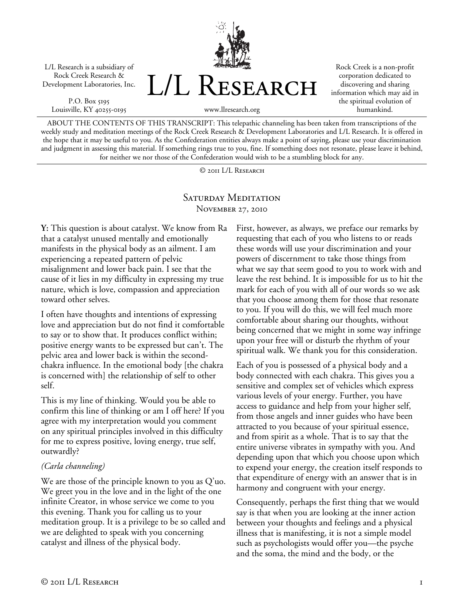L/L Research is a subsidiary of Rock Creek Research & Development Laboratories, Inc.

P.O. Box 5195 Louisville, KY 40255-0195



Rock Creek is a non-profit corporation dedicated to discovering and sharing information which may aid in the spiritual evolution of humankind.

www.llresearch.org

ABOUT THE CONTENTS OF THIS TRANSCRIPT: This telepathic channeling has been taken from transcriptions of the weekly study and meditation meetings of the Rock Creek Research & Development Laboratories and L/L Research. It is offered in the hope that it may be useful to you. As the Confederation entities always make a point of saying, please use your discrimination and judgment in assessing this material. If something rings true to you, fine. If something does not resonate, please leave it behind, for neither we nor those of the Confederation would wish to be a stumbling block for any.

© 2011 L/L Research

## SATURDAY MEDITATION November 27, 2010

**Y:** This question is about catalyst. We know from Ra that a catalyst unused mentally and emotionally manifests in the physical body as an ailment. I am experiencing a repeated pattern of pelvic misalignment and lower back pain. I see that the cause of it lies in my difficulty in expressing my true nature, which is love, compassion and appreciation toward other selves.

I often have thoughts and intentions of expressing love and appreciation but do not find it comfortable to say or to show that. It produces conflict within; positive energy wants to be expressed but can't. The pelvic area and lower back is within the secondchakra influence. In the emotional body [the chakra is concerned with] the relationship of self to other self.

This is my line of thinking. Would you be able to confirm this line of thinking or am I off here? If you agree with my interpretation would you comment on any spiritual principles involved in this difficulty for me to express positive, loving energy, true self, outwardly?

## *(Carla channeling)*

We are those of the principle known to you as Q'uo. We greet you in the love and in the light of the one infinite Creator, in whose service we come to you this evening. Thank you for calling us to your meditation group. It is a privilege to be so called and we are delighted to speak with you concerning catalyst and illness of the physical body.

First, however, as always, we preface our remarks by requesting that each of you who listens to or reads these words will use your discrimination and your powers of discernment to take those things from what we say that seem good to you to work with and leave the rest behind. It is impossible for us to hit the mark for each of you with all of our words so we ask that you choose among them for those that resonate to you. If you will do this, we will feel much more comfortable about sharing our thoughts, without being concerned that we might in some way infringe upon your free will or disturb the rhythm of your spiritual walk. We thank you for this consideration.

Each of you is possessed of a physical body and a body connected with each chakra. This gives you a sensitive and complex set of vehicles which express various levels of your energy. Further, you have access to guidance and help from your higher self, from those angels and inner guides who have been attracted to you because of your spiritual essence, and from spirit as a whole. That is to say that the entire universe vibrates in sympathy with you. And depending upon that which you choose upon which to expend your energy, the creation itself responds to that expenditure of energy with an answer that is in harmony and congruent with your energy.

Consequently, perhaps the first thing that we would say is that when you are looking at the inner action between your thoughts and feelings and a physical illness that is manifesting, it is not a simple model such as psychologists would offer you—the psyche and the soma, the mind and the body, or the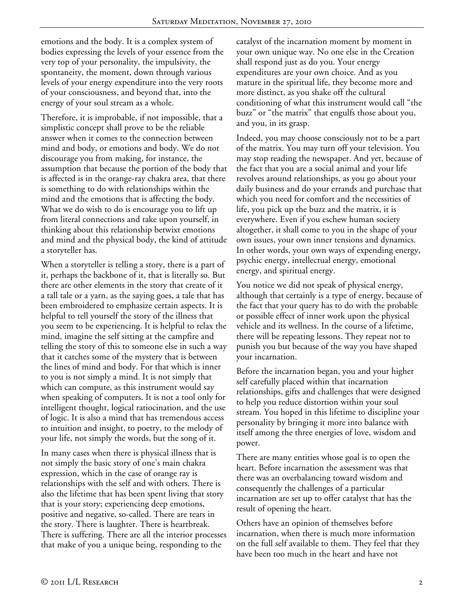emotions and the body. It is a complex system of bodies expressing the levels of your essence from the very top of your personality, the impulsivity, the spontaneity, the moment, down through various levels of your energy expenditure into the very roots of your consciousness, and beyond that, into the energy of your soul stream as a whole.

Therefore, it is improbable, if not impossible, that a simplistic concept shall prove to be the reliable answer when it comes to the connection between mind and body, or emotions and body. We do not discourage you from making, for instance, the assumption that because the portion of the body that is affected is in the orange-ray chakra area, that there is something to do with relationships within the mind and the emotions that is affecting the body. What we do wish to do is encourage you to lift up from literal connections and take upon yourself, in thinking about this relationship betwixt emotions and mind and the physical body, the kind of attitude a storyteller has.

When a storyteller is telling a story, there is a part of it, perhaps the backbone of it, that is literally so. But there are other elements in the story that create of it a tall tale or a yarn, as the saying goes, a tale that has been embroidered to emphasize certain aspects. It is helpful to tell yourself the story of the illness that you seem to be experiencing. It is helpful to relax the mind, imagine the self sitting at the campfire and telling the story of this to someone else in such a way that it catches some of the mystery that is between the lines of mind and body. For that which is inner to you is not simply a mind. It is not simply that which can compute, as this instrument would say when speaking of computers. It is not a tool only for intelligent thought, logical ratiocination, and the use of logic. It is also a mind that has tremendous access to intuition and insight, to poetry, to the melody of your life, not simply the words, but the song of it.

In many cases when there is physical illness that is not simply the basic story of one's main chakra expression, which in the case of orange ray is relationships with the self and with others. There is also the lifetime that has been spent living that story that is your story; experiencing deep emotions, positive and negative, so-called. There are tears in the story. There is laughter. There is heartbreak. There is suffering. There are all the interior processes that make of you a unique being, responding to the

catalyst of the incarnation moment by moment in your own unique way. No one else in the Creation shall respond just as do you. Your energy expenditures are your own choice. And as you mature in the spiritual life, they become more and more distinct, as you shake off the cultural conditioning of what this instrument would call "the buzz" or "the matrix" that engulfs those about you, and you, in its grasp.

Indeed, you may choose consciously not to be a part of the matrix. You may turn off your television. You may stop reading the newspaper. And yet, because of the fact that you are a social animal and your life revolves around relationships, as you go about your daily business and do your errands and purchase that which you need for comfort and the necessities of life, you pick up the buzz and the matrix, it is everywhere. Even if you eschew human society altogether, it shall come to you in the shape of your own issues, your own inner tensions and dynamics. In other words, your own ways of expending energy, psychic energy, intellectual energy, emotional energy, and spiritual energy.

You notice we did not speak of physical energy, although that certainly is a type of energy, because of the fact that your query has to do with the probable or possible effect of inner work upon the physical vehicle and its wellness. In the course of a lifetime, there will be repeating lessons. They repeat not to punish you but because of the way you have shaped your incarnation.

Before the incarnation began, you and your higher self carefully placed within that incarnation relationships, gifts and challenges that were designed to help you reduce distortion within your soul stream. You hoped in this lifetime to discipline your personality by bringing it more into balance with itself among the three energies of love, wisdom and power.

There are many entities whose goal is to open the heart. Before incarnation the assessment was that there was an overbalancing toward wisdom and consequently the challenges of a particular incarnation are set up to offer catalyst that has the result of opening the heart.

Others have an opinion of themselves before incarnation, when there is much more information on the full self available to them. They feel that they have been too much in the heart and have not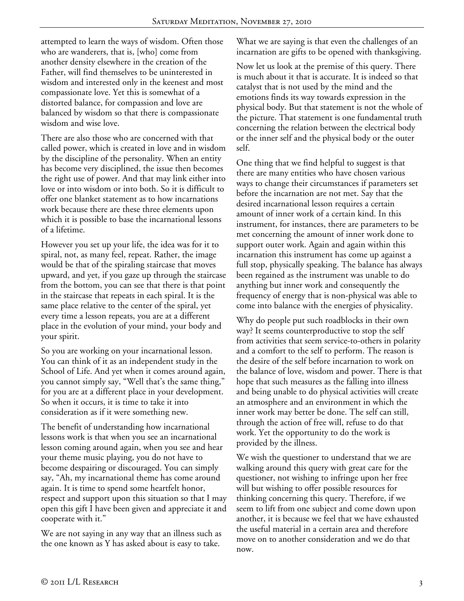attempted to learn the ways of wisdom. Often those who are wanderers, that is, [who] come from another density elsewhere in the creation of the Father, will find themselves to be uninterested in wisdom and interested only in the keenest and most compassionate love. Yet this is somewhat of a distorted balance, for compassion and love are balanced by wisdom so that there is compassionate wisdom and wise love.

There are also those who are concerned with that called power, which is created in love and in wisdom by the discipline of the personality. When an entity has become very disciplined, the issue then becomes the right use of power. And that may link either into love or into wisdom or into both. So it is difficult to offer one blanket statement as to how incarnations work because there are these three elements upon which it is possible to base the incarnational lessons of a lifetime.

However you set up your life, the idea was for it to spiral, not, as many feel, repeat. Rather, the image would be that of the spiraling staircase that moves upward, and yet, if you gaze up through the staircase from the bottom, you can see that there is that point in the staircase that repeats in each spiral. It is the same place relative to the center of the spiral, yet every time a lesson repeats, you are at a different place in the evolution of your mind, your body and your spirit.

So you are working on your incarnational lesson. You can think of it as an independent study in the School of Life. And yet when it comes around again, you cannot simply say, "Well that's the same thing," for you are at a different place in your development. So when it occurs, it is time to take it into consideration as if it were something new.

The benefit of understanding how incarnational lessons work is that when you see an incarnational lesson coming around again, when you see and hear your theme music playing, you do not have to become despairing or discouraged. You can simply say, "Ah, my incarnational theme has come around again. It is time to spend some heartfelt honor, respect and support upon this situation so that I may open this gift I have been given and appreciate it and cooperate with it."

We are not saying in any way that an illness such as the one known as Y has asked about is easy to take.

What we are saying is that even the challenges of an incarnation are gifts to be opened with thanksgiving.

Now let us look at the premise of this query. There is much about it that is accurate. It is indeed so that catalyst that is not used by the mind and the emotions finds its way towards expression in the physical body. But that statement is not the whole of the picture. That statement is one fundamental truth concerning the relation between the electrical body or the inner self and the physical body or the outer self.

One thing that we find helpful to suggest is that there are many entities who have chosen various ways to change their circumstances if parameters set before the incarnation are not met. Say that the desired incarnational lesson requires a certain amount of inner work of a certain kind. In this instrument, for instances, there are parameters to be met concerning the amount of inner work done to support outer work. Again and again within this incarnation this instrument has come up against a full stop, physically speaking. The balance has always been regained as the instrument was unable to do anything but inner work and consequently the frequency of energy that is non-physical was able to come into balance with the energies of physicality.

Why do people put such roadblocks in their own way? It seems counterproductive to stop the self from activities that seem service-to-others in polarity and a comfort to the self to perform. The reason is the desire of the self before incarnation to work on the balance of love, wisdom and power. There is that hope that such measures as the falling into illness and being unable to do physical activities will create an atmosphere and an environment in which the inner work may better be done. The self can still, through the action of free will, refuse to do that work. Yet the opportunity to do the work is provided by the illness.

We wish the questioner to understand that we are walking around this query with great care for the questioner, not wishing to infringe upon her free will but wishing to offer possible resources for thinking concerning this query. Therefore, if we seem to lift from one subject and come down upon another, it is because we feel that we have exhausted the useful material in a certain area and therefore move on to another consideration and we do that now.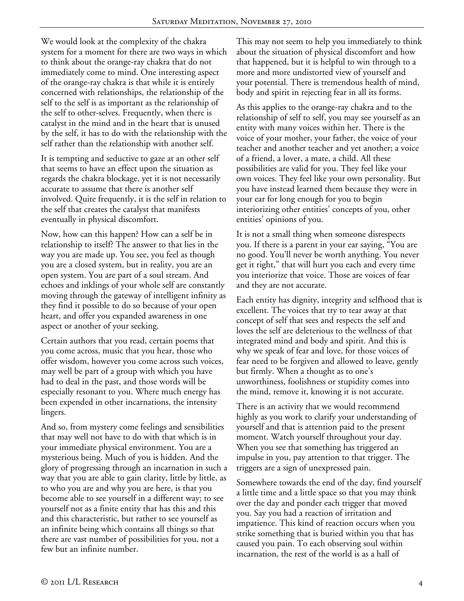We would look at the complexity of the chakra system for a moment for there are two ways in which to think about the orange-ray chakra that do not immediately come to mind. One interesting aspect of the orange-ray chakra is that while it is entirely concerned with relationships, the relationship of the self to the self is as important as the relationship of the self to other-selves. Frequently, when there is catalyst in the mind and in the heart that is unused by the self, it has to do with the relationship with the self rather than the relationship with another self.

It is tempting and seductive to gaze at an other self that seems to have an effect upon the situation as regards the chakra blockage, yet it is not necessarily accurate to assume that there is another self involved. Quite frequently, it is the self in relation to the self that creates the catalyst that manifests eventually in physical discomfort.

Now, how can this happen? How can a self be in relationship to itself? The answer to that lies in the way you are made up. You see, you feel as though you are a closed system, but in reality, you are an open system. You are part of a soul stream. And echoes and inklings of your whole self are constantly moving through the gateway of intelligent infinity as they find it possible to do so because of your open heart, and offer you expanded awareness in one aspect or another of your seeking.

Certain authors that you read, certain poems that you come across, music that you hear, those who offer wisdom, however you come across such voices, may well be part of a group with which you have had to deal in the past, and those words will be especially resonant to you. Where much energy has been expended in other incarnations, the intensity lingers.

And so, from mystery come feelings and sensibilities that may well not have to do with that which is in your immediate physical environment. You are a mysterious being. Much of you is hidden. And the glory of progressing through an incarnation in such a way that you are able to gain clarity, little by little, as to who you are and why you are here, is that you become able to see yourself in a different way; to see yourself not as a finite entity that has this and this and this characteristic, but rather to see yourself as an infinite being which contains all things so that there are vast number of possibilities for you, not a few but an infinite number.

This may not seem to help you immediately to think about the situation of physical discomfort and how that happened, but it is helpful to win through to a more and more undistorted view of yourself and your potential. There is tremendous health of mind, body and spirit in rejecting fear in all its forms.

As this applies to the orange-ray chakra and to the relationship of self to self, you may see yourself as an entity with many voices within her. There is the voice of your mother, your father, the voice of your teacher and another teacher and yet another; a voice of a friend, a lover, a mate, a child. All these possibilities are valid for you. They feel like your own voices. They feel like your own personality. But you have instead learned them because they were in your ear for long enough for you to begin interiorizing other entities' concepts of you, other entities' opinions of you.

It is not a small thing when someone disrespects you. If there is a parent in your ear saying, "You are no good. You'll never be worth anything. You never get it right," that will hurt you each and every time you interiorize that voice. Those are voices of fear and they are not accurate.

Each entity has dignity, integrity and selfhood that is excellent. The voices that try to tear away at that concept of self that sees and respects the self and loves the self are deleterious to the wellness of that integrated mind and body and spirit. And this is why we speak of fear and love, for those voices of fear need to be forgiven and allowed to leave, gently but firmly. When a thought as to one's unworthiness, foolishness or stupidity comes into the mind, remove it, knowing it is not accurate.

There is an activity that we would recommend highly as you work to clarify your understanding of yourself and that is attention paid to the present moment. Watch yourself throughout your day. When you see that something has triggered an impulse in you, pay attention to that trigger. The triggers are a sign of unexpressed pain.

Somewhere towards the end of the day, find yourself a little time and a little space so that you may think over the day and ponder each trigger that moved you. Say you had a reaction of irritation and impatience. This kind of reaction occurs when you strike something that is buried within you that has caused you pain. To each observing soul within incarnation, the rest of the world is as a hall of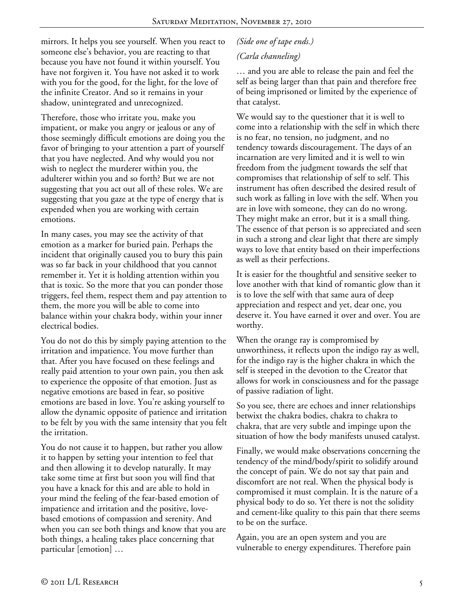mirrors. It helps you see yourself. When you react to someone else's behavior, you are reacting to that because you have not found it within yourself. You have not forgiven it. You have not asked it to work with you for the good, for the light, for the love of the infinite Creator. And so it remains in your shadow, unintegrated and unrecognized.

Therefore, those who irritate you, make you impatient, or make you angry or jealous or any of those seemingly difficult emotions are doing you the favor of bringing to your attention a part of yourself that you have neglected. And why would you not wish to neglect the murderer within you, the adulterer within you and so forth? But we are not suggesting that you act out all of these roles. We are suggesting that you gaze at the type of energy that is expended when you are working with certain emotions.

In many cases, you may see the activity of that emotion as a marker for buried pain. Perhaps the incident that originally caused you to bury this pain was so far back in your childhood that you cannot remember it. Yet it is holding attention within you that is toxic. So the more that you can ponder those triggers, feel them, respect them and pay attention to them, the more you will be able to come into balance within your chakra body, within your inner electrical bodies.

You do not do this by simply paying attention to the irritation and impatience. You move further than that. After you have focused on these feelings and really paid attention to your own pain, you then ask to experience the opposite of that emotion. Just as negative emotions are based in fear, so positive emotions are based in love. You're asking yourself to allow the dynamic opposite of patience and irritation to be felt by you with the same intensity that you felt the irritation.

You do not cause it to happen, but rather you allow it to happen by setting your intention to feel that and then allowing it to develop naturally. It may take some time at first but soon you will find that you have a knack for this and are able to hold in your mind the feeling of the fear-based emotion of impatience and irritation and the positive, lovebased emotions of compassion and serenity. And when you can see both things and know that you are both things, a healing takes place concerning that particular [emotion] …

## *(Side one of tape ends.) (Carla channeling)*

… and you are able to release the pain and feel the self as being larger than that pain and therefore free of being imprisoned or limited by the experience of that catalyst.

We would say to the questioner that it is well to come into a relationship with the self in which there is no fear, no tension, no judgment, and no tendency towards discouragement. The days of an incarnation are very limited and it is well to win freedom from the judgment towards the self that compromises that relationship of self to self. This instrument has often described the desired result of such work as falling in love with the self. When you are in love with someone, they can do no wrong. They might make an error, but it is a small thing. The essence of that person is so appreciated and seen in such a strong and clear light that there are simply ways to love that entity based on their imperfections as well as their perfections.

It is easier for the thoughtful and sensitive seeker to love another with that kind of romantic glow than it is to love the self with that same aura of deep appreciation and respect and yet, dear one, you deserve it. You have earned it over and over. You are worthy.

When the orange ray is compromised by unworthiness, it reflects upon the indigo ray as well, for the indigo ray is the higher chakra in which the self is steeped in the devotion to the Creator that allows for work in consciousness and for the passage of passive radiation of light.

So you see, there are echoes and inner relationships betwixt the chakra bodies, chakra to chakra to chakra, that are very subtle and impinge upon the situation of how the body manifests unused catalyst.

Finally, we would make observations concerning the tendency of the mind/body/spirit to solidify around the concept of pain. We do not say that pain and discomfort are not real. When the physical body is compromised it must complain. It is the nature of a physical body to do so. Yet there is not the solidity and cement-like quality to this pain that there seems to be on the surface.

Again, you are an open system and you are vulnerable to energy expenditures. Therefore pain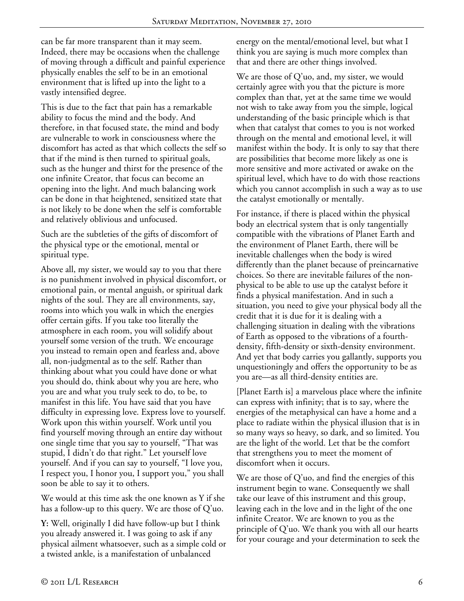can be far more transparent than it may seem. Indeed, there may be occasions when the challenge of moving through a difficult and painful experience physically enables the self to be in an emotional environment that is lifted up into the light to a vastly intensified degree.

This is due to the fact that pain has a remarkable ability to focus the mind and the body. And therefore, in that focused state, the mind and body are vulnerable to work in consciousness where the discomfort has acted as that which collects the self so that if the mind is then turned to spiritual goals, such as the hunger and thirst for the presence of the one infinite Creator, that focus can become an opening into the light. And much balancing work can be done in that heightened, sensitized state that is not likely to be done when the self is comfortable and relatively oblivious and unfocused.

Such are the subtleties of the gifts of discomfort of the physical type or the emotional, mental or spiritual type.

Above all, my sister, we would say to you that there is no punishment involved in physical discomfort, or emotional pain, or mental anguish, or spiritual dark nights of the soul. They are all environments, say, rooms into which you walk in which the energies offer certain gifts. If you take too literally the atmosphere in each room, you will solidify about yourself some version of the truth. We encourage you instead to remain open and fearless and, above all, non-judgmental as to the self. Rather than thinking about what you could have done or what you should do, think about why you are here, who you are and what you truly seek to do, to be, to manifest in this life. You have said that you have difficulty in expressing love. Express love to yourself. Work upon this within yourself. Work until you find yourself moving through an entire day without one single time that you say to yourself, "That was stupid, I didn't do that right." Let yourself love yourself. And if you can say to yourself, "I love you, I respect you, I honor you, I support you," you shall soon be able to say it to others.

We would at this time ask the one known as Y if she has a follow-up to this query. We are those of Q'uo.

**Y:** Well, originally I did have follow-up but I think you already answered it. I was going to ask if any physical ailment whatsoever, such as a simple cold or a twisted ankle, is a manifestation of unbalanced

energy on the mental/emotional level, but what I think you are saying is much more complex than that and there are other things involved.

We are those of Q'uo, and, my sister, we would certainly agree with you that the picture is more complex than that, yet at the same time we would not wish to take away from you the simple, logical understanding of the basic principle which is that when that catalyst that comes to you is not worked through on the mental and emotional level, it will manifest within the body. It is only to say that there are possibilities that become more likely as one is more sensitive and more activated or awake on the spiritual level, which have to do with those reactions which you cannot accomplish in such a way as to use the catalyst emotionally or mentally.

For instance, if there is placed within the physical body an electrical system that is only tangentially compatible with the vibrations of Planet Earth and the environment of Planet Earth, there will be inevitable challenges when the body is wired differently than the planet because of preincarnative choices. So there are inevitable failures of the nonphysical to be able to use up the catalyst before it finds a physical manifestation. And in such a situation, you need to give your physical body all the credit that it is due for it is dealing with a challenging situation in dealing with the vibrations of Earth as opposed to the vibrations of a fourthdensity, fifth-density or sixth-density environment. And yet that body carries you gallantly, supports you unquestioningly and offers the opportunity to be as you are—as all third-density entities are.

[Planet Earth is] a marvelous place where the infinite can express with infinity; that is to say, where the energies of the metaphysical can have a home and a place to radiate within the physical illusion that is in so many ways so heavy, so dark, and so limited. You are the light of the world. Let that be the comfort that strengthens you to meet the moment of discomfort when it occurs.

We are those of  $Q'$ uo, and find the energies of this instrument begin to wane. Consequently we shall take our leave of this instrument and this group, leaving each in the love and in the light of the one infinite Creator. We are known to you as the principle of Q'uo. We thank you with all our hearts for your courage and your determination to seek the